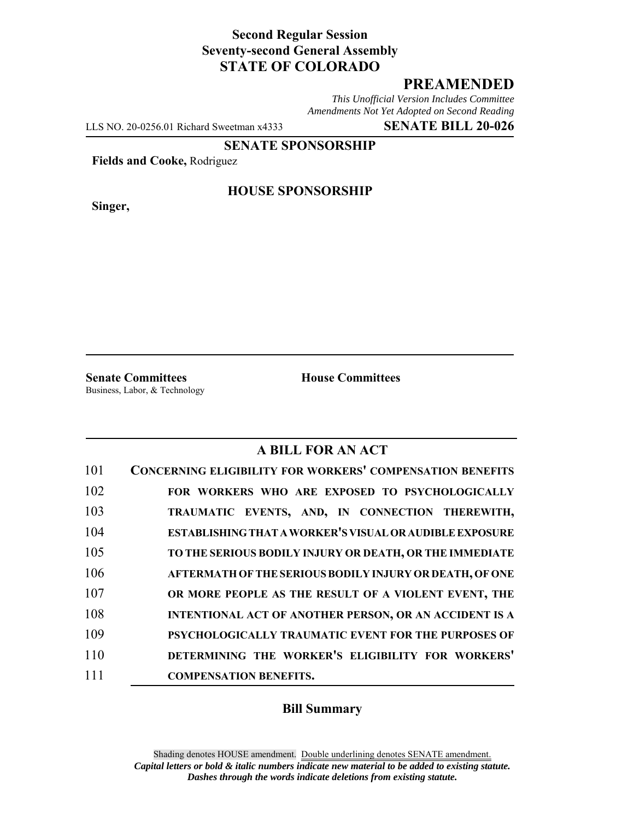## **Second Regular Session Seventy-second General Assembly STATE OF COLORADO**

## **PREAMENDED**

*This Unofficial Version Includes Committee Amendments Not Yet Adopted on Second Reading*

LLS NO. 20-0256.01 Richard Sweetman x4333 **SENATE BILL 20-026**

**SENATE SPONSORSHIP**

**Fields and Cooke,** Rodriguez

**Singer,**

#### **HOUSE SPONSORSHIP**

**Senate Committees House Committees** Business, Labor, & Technology

## **A BILL FOR AN ACT**

| 101 | <b>CONCERNING ELIGIBILITY FOR WORKERS' COMPENSATION BENEFITS</b> |
|-----|------------------------------------------------------------------|
| 102 | FOR WORKERS WHO ARE EXPOSED TO PSYCHOLOGICALLY                   |
| 103 | TRAUMATIC EVENTS, AND, IN CONNECTION THEREWITH,                  |
| 104 | ESTABLISHING THAT A WORKER'S VISUAL OR AUDIBLE EXPOSURE          |
| 105 | TO THE SERIOUS BODILY INJURY OR DEATH, OR THE IMMEDIATE          |
| 106 | AFTERMATH OF THE SERIOUS BODILY INJURY OR DEATH, OF ONE          |
| 107 | OR MORE PEOPLE AS THE RESULT OF A VIOLENT EVENT, THE             |
| 108 | <b>INTENTIONAL ACT OF ANOTHER PERSON, OR AN ACCIDENT IS A</b>    |
| 109 | PSYCHOLOGICALLY TRAUMATIC EVENT FOR THE PURPOSES OF              |
| 110 | DETERMINING THE WORKER'S ELIGIBILITY FOR WORKERS'                |
| 111 | <b>COMPENSATION BENEFITS.</b>                                    |

#### **Bill Summary**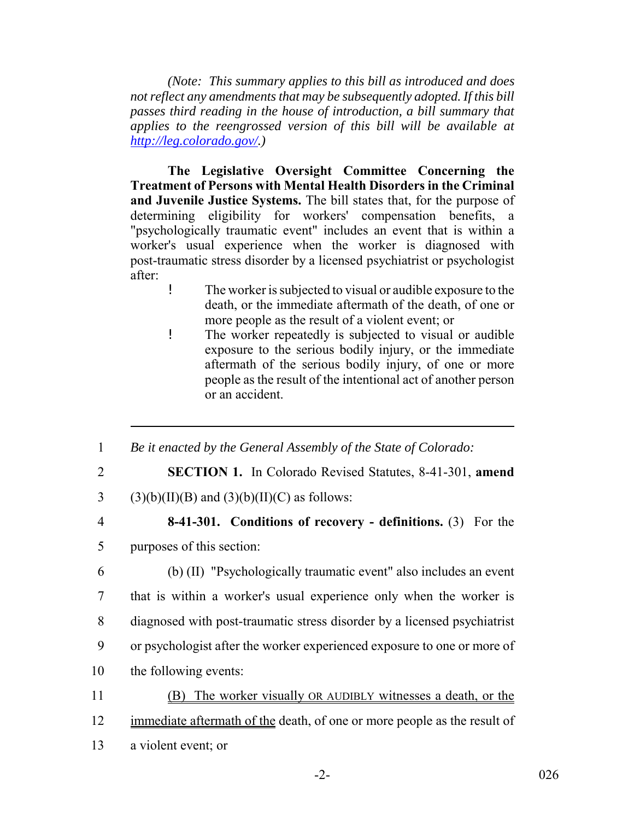*(Note: This summary applies to this bill as introduced and does not reflect any amendments that may be subsequently adopted. If this bill passes third reading in the house of introduction, a bill summary that applies to the reengrossed version of this bill will be available at http://leg.colorado.gov/.)*

**The Legislative Oversight Committee Concerning the Treatment of Persons with Mental Health Disorders in the Criminal and Juvenile Justice Systems.** The bill states that, for the purpose of determining eligibility for workers' compensation benefits, a "psychologically traumatic event" includes an event that is within a worker's usual experience when the worker is diagnosed with post-traumatic stress disorder by a licensed psychiatrist or psychologist after:

- ! The worker is subjected to visual or audible exposure to the death, or the immediate aftermath of the death, of one or more people as the result of a violent event; or
- ! The worker repeatedly is subjected to visual or audible exposure to the serious bodily injury, or the immediate aftermath of the serious bodily injury, of one or more people as the result of the intentional act of another person or an accident.
- 1 *Be it enacted by the General Assembly of the State of Colorado:*
- 
- 2 **SECTION 1.** In Colorado Revised Statutes, 8-41-301, **amend**

3 (3)(b)(II)(B) and (3)(b)(II)(C) as follows:

# 4 **8-41-301. Conditions of recovery - definitions.** (3) For the

5 purposes of this section:

- 6 (b) (II) "Psychologically traumatic event" also includes an event 7 that is within a worker's usual experience only when the worker is 8 diagnosed with post-traumatic stress disorder by a licensed psychiatrist 9 or psychologist after the worker experienced exposure to one or more of 10 the following events:
- 11 (B) The worker visually OR AUDIBLY witnesses a death, or the 12 immediate aftermath of the death, of one or more people as the result of
- 13 a violent event; or